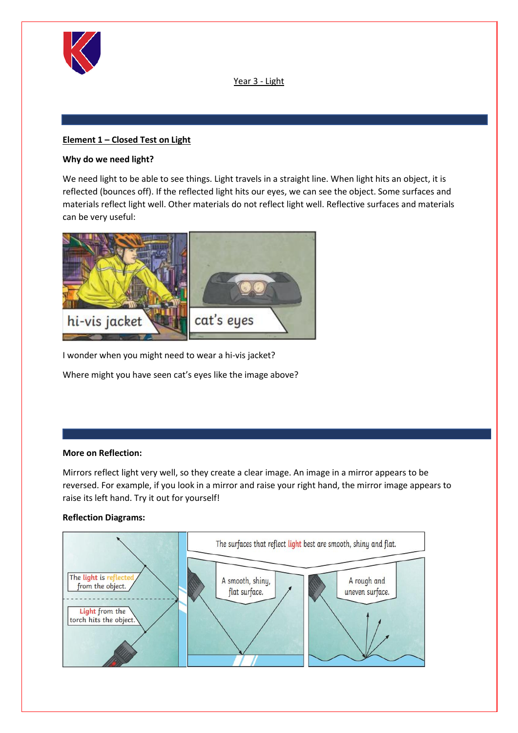

Year 3 - Light

# **Element 1 – Closed Test on Light**

# **Why do we need light?**

We need light to be able to see things. Light travels in a straight line. When light hits an object, it is reflected (bounces off). If the reflected light hits our eyes, we can see the object. Some surfaces and materials reflect light well. Other materials do not reflect light well. Reflective surfaces and materials can be very useful:



I wonder when you might need to wear a hi-vis jacket?

Where might you have seen cat's eyes like the image above?

### **More on Reflection:**

Mirrors reflect light very well, so they create a clear image. An image in a mirror appears to be reversed. For example, if you look in a mirror and raise your right hand, the mirror image appears to raise its left hand. Try it out for yourself!

### **Reflection Diagrams:**

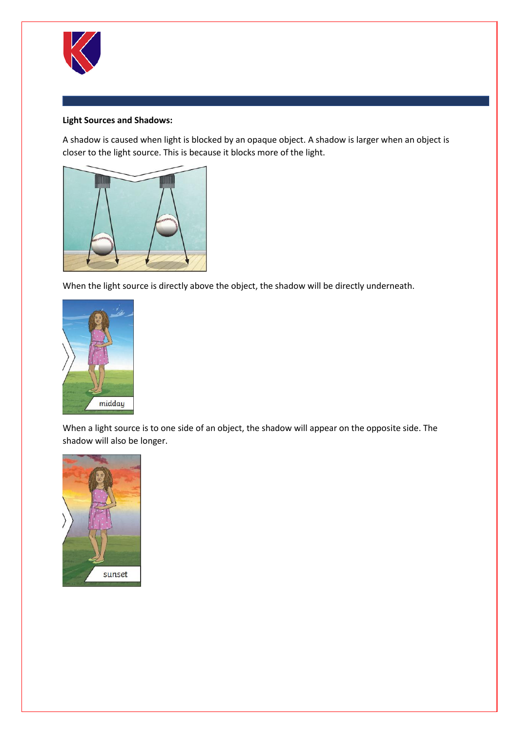

### **Light Sources and Shadows:**

A shadow is caused when light is blocked by an opaque object. A shadow is larger when an object is closer to the light source. This is because it blocks more of the light.



When the light source is directly above the object, the shadow will be directly underneath.



When a light source is to one side of an object, the shadow will appear on the opposite side. The shadow will also be longer.

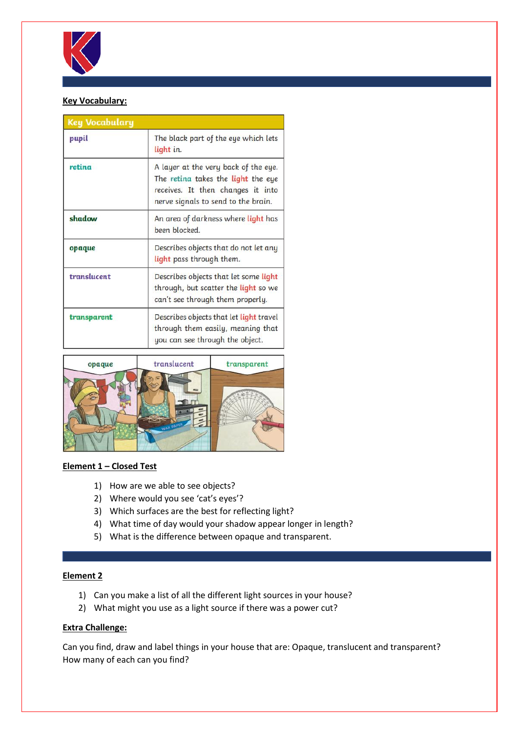

# **Key Vocabulary:**

| <b>Key Vocabulary</b> |                                                                                                                                                        |  |  |  |
|-----------------------|--------------------------------------------------------------------------------------------------------------------------------------------------------|--|--|--|
| pupil                 | The black part of the eye which lets<br>light in.                                                                                                      |  |  |  |
| retina                | A layer at the very back of the eye.<br>The retina takes the light the eye<br>receives. It then changes it into<br>nerve signals to send to the brain. |  |  |  |
| shadow                | An area of darkness where light has<br>been blocked.                                                                                                   |  |  |  |
| opaque                | Describes objects that do not let any<br>light pass through them.                                                                                      |  |  |  |
| translucent           | Describes objects that let some light<br>through, but scatter the light so we<br>can't see through them properly.                                      |  |  |  |
| transparent           | Describes objects that let light travel<br>through them easily, meaning that<br>you can see through the object.                                        |  |  |  |



### **Element 1 – Closed Test**

- 1) How are we able to see objects?
- 2) Where would you see 'cat's eyes'?
- 3) Which surfaces are the best for reflecting light?
- 4) What time of day would your shadow appear longer in length?
- 5) What is the difference between opaque and transparent.

### **Element 2**

- 1) Can you make a list of all the different light sources in your house?
- 2) What might you use as a light source if there was a power cut?

## **Extra Challenge:**

Can you find, draw and label things in your house that are: Opaque, translucent and transparent? How many of each can you find?